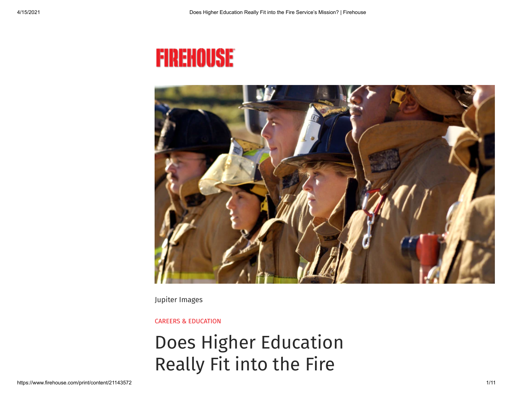# **FIREHOUSE**



Jupiter Images

CAREERS & [EDUCATION](https://www.firehouse.com/careers-education)

## Does Higher Education Really Fit into the Fire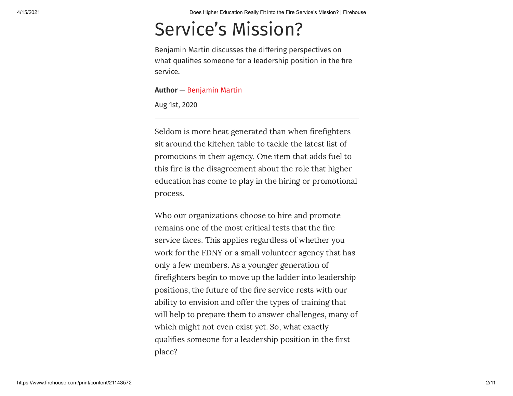### Service's Mission?

Benjamin Martin discusses the differing perspectives on what qualifies someone for a leadership position in the fire service.

#### **Author** — [Benjamin](https://www.firehouse.com/home/contact/21134609/benjamin-martin) Martin

Aug 1st, 2020

Seldom is more heat generated than when firefighters sit around the kitchen table to tackle the latest list of promotions in their agency. One item that adds fuel to this fire is the disagreement about the role that higher education has come to play in the hiring or promotional process.

Who our organizations choose to hire and promote remains one of the most critical tests that the fire service faces. This applies regardless of whether you work for the FDNY or a small volunteer agency that has only a few members. As a younger generation of firefighters begin to move up the ladder into leadership positions, the future of the fire service rests with our ability to envision and offer the types of training that will help to prepare them to answer challenges, many of which might not even exist yet. So, what exactly qualifies someone for a leadership position in the first place?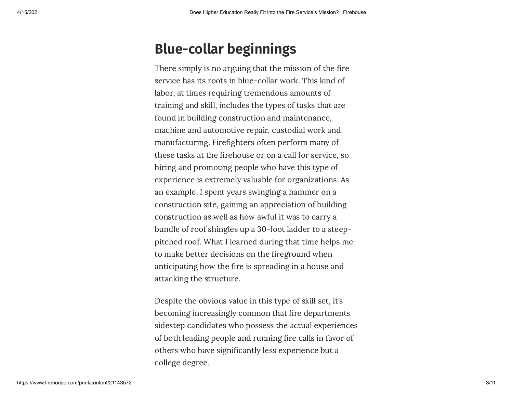### **Blue-collar beginnings**

There simply is no arguing that the mission of the fire service has its roots in blue-collar work. This kind of labor, at times requiring tremendous amounts of training and skill, includes the types of tasks that are found in building construction and maintenance, machine and automotive repair, custodial work and manufacturing. Firefighters often perform many of these tasks at the firehouse or on a call for service, so hiring and promoting people who have this type of experience is extremely valuable for organizations. As an example, I spent years swinging a hammer on a construction site, gaining an appreciation of building construction as well as how awful it was to carry a bundle of roof shingles up a 30-foot ladder to a steeppitched roof. What I learned during that time helps me to make better decisions on the fireground when anticipating how the fire is spreading in a house and attacking the structure.

Despite the obvious value in this type of skill set, it's becoming increasingly common that fire departments sidestep candidates who possess the actual experiences of both leading people and running fire calls in favor of others who have signicantly less experience but a college degree.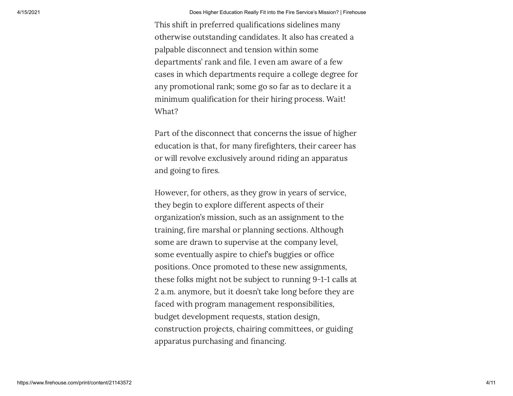This shift in preferred qualifications sidelines many otherwise outstanding candidates. It also has created a palpable disconnect and tension within some departments' rank and file. I even am aware of a few cases in which departments require a college degree for any promotional rank; some go so far as to declare it a minimum qualification for their hiring process. Wait! What?

Part of the disconnect that concerns the issue of higher education is that, for many firefighters, their career has or will revolve exclusively around riding an apparatus and going to fires.

However, for others, as they grow in years of service, they begin to explore different aspects of their organization's mission, such as an assignment to the training, fire marshal or planning sections. Although some are drawn to supervise at the company level, some eventually aspire to chief's buggies or office positions. Once promoted to these new assignments, these folks might not be subject to running 9-1-1 calls at 2 a.m. anymore, but it doesn't take long before they are faced with program management responsibilities, budget development requests, station design, construction projects, chairing committees, or guiding apparatus purchasing and financing.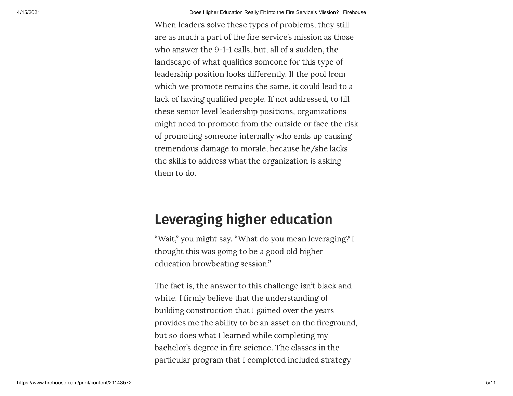When leaders solve these types of problems, they still are as much a part of the fire service's mission as those who answer the 9-1-1 calls, but, all of a sudden, the landscape of what qualifies someone for this type of leadership position looks differently. If the pool from which we promote remains the same, it could lead to a lack of having qualified people. If not addressed, to fill these senior level leadership positions, organizations might need to promote from the outside or face the risk of promoting someone internally who ends up causing tremendous damage to morale, because he/she lacks the skills to address what the organization is asking them to do.

#### **Leveraging higher education**

"Wait," you might say. "What do you mean leveraging? I thought this was going to be a good old higher education browbeating session."

The fact is, the answer to this challenge isn't black and white. I firmly believe that the understanding of building construction that I gained over the years provides me the ability to be an asset on the fireground, but so does what I learned while completing my bachelor's degree in fire science. The classes in the particular program that I completed included strategy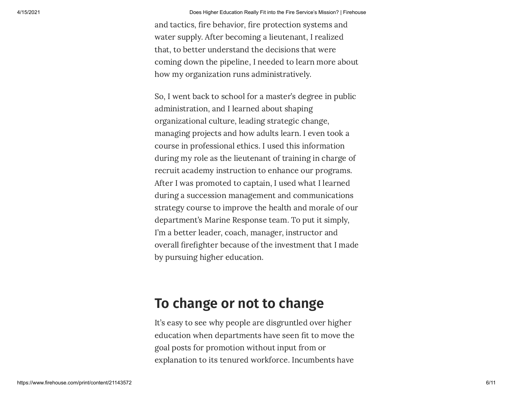and tactics, fire behavior, fire protection systems and water supply. After becoming a lieutenant, I realized that, to better understand the decisions that were coming down the pipeline, I needed to learn more about how my organization runs administratively.

So, I went back to school for a master's degree in public administration, and I learned about shaping organizational culture, leading strategic change, managing projects and how adults learn. I even took a course in professional ethics. I used this information during my role as the lieutenant of training in charge of recruit academy instruction to enhance our programs. After I was promoted to captain, I used what I learned during a succession management and communications strategy course to improve the health and morale of our department's Marine Response team. To put it simply, I'm a better leader, coach, manager, instructor and overall firefighter because of the investment that I made by pursuing higher education.

#### **To change or not to change**

It's easy to see why people are disgruntled over higher education when departments have seen fit to move the goal posts for promotion without input from or explanation to its tenured workforce. Incumbents have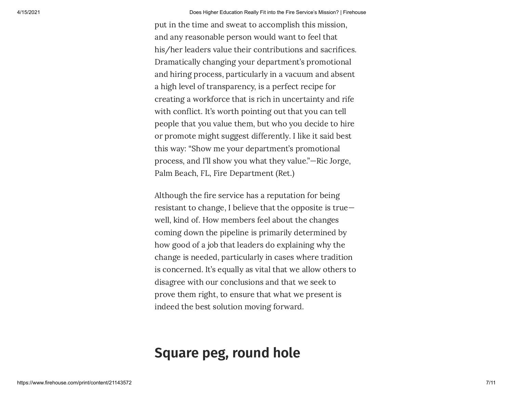put in the time and sweat to accomplish this mission, and any reasonable person would want to feel that his/her leaders value their contributions and sacrifices. Dramatically changing your department's promotional and hiring process, particularly in a vacuum and absent a high level of transparency, is a perfect recipe for creating a workforce that is rich in uncertainty and rife with conflict. It's worth pointing out that you can tell people that you value them, but who you decide to hire or promote might suggest differently. I like it said best this way: "Show me your department's promotional process, and I'll show you what they value."—Ric Jorge, Palm Beach, FL, Fire Department (Ret.)

Although the fire service has a reputation for being resistant to change, I believe that the opposite is true well, kind of. How members feel about the changes coming down the pipeline is primarily determined by how good of a job that leaders do explaining why the change is needed, particularly in cases where tradition is concerned. It's equally as vital that we allow others to disagree with our conclusions and that we seek to prove them right, to ensure that what we present is indeed the best solution moving forward.

#### **Square peg, round hole**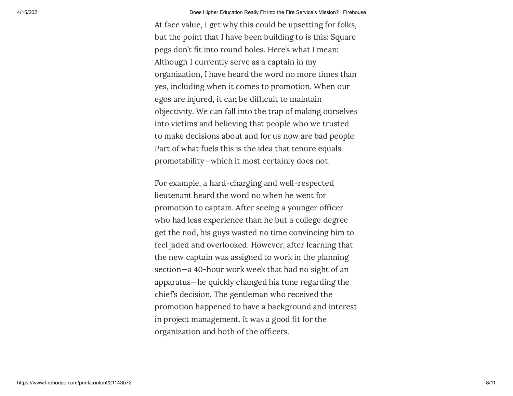At face value, I get why this could be upsetting for folks, but the point that I have been building to is this: Square pegs don't fit into round holes. Here's what I mean: Although I currently serve as a captain in my organization, I have heard the word no more times than yes, including when it comes to promotion. When our egos are injured, it can be difficult to maintain objectivity. We can fall into the trap of making ourselves into victims and believing that people who we trusted to make decisions about and for us now are bad people. Part of what fuels this is the idea that tenure equals promotability—which it most certainly does not.

For example, a hard-charging and well-respected lieutenant heard the word no when he went for promotion to captain. After seeing a younger officer who had less experience than he but a college degree get the nod, his guys wasted no time convincing him to feel jaded and overlooked. However, after learning that the new captain was assigned to work in the planning section—a 40-hour work week that had no sight of an apparatus—he quickly changed his tune regarding the chief's decision. The gentleman who received the promotion happened to have a background and interest in project management. It was a good fit for the organization and both of the officers.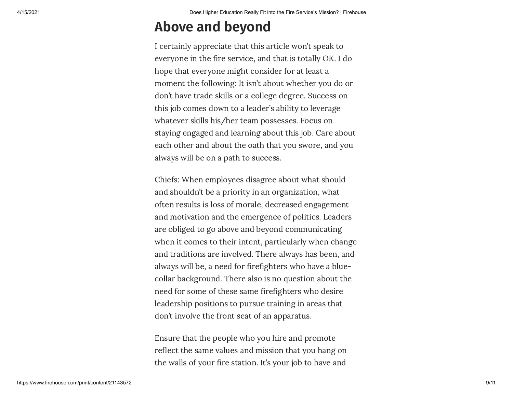### **Above and beyond**

I certainly appreciate that this article won't speak to everyone in the fire service, and that is totally OK. I do hope that everyone might consider for at least a moment the following: It isn't about whether you do or don't have trade skills or a college degree. Success on this job comes down to a leader's ability to leverage whatever skills his/her team possesses. Focus on staying engaged and learning about this job. Care about each other and about the oath that you swore, and you always will be on a path to success.

Chiefs: When employees disagree about what should and shouldn't be a priority in an organization, what often results is loss of morale, decreased engagement and motivation and the emergence of politics. Leaders are obliged to go above and beyond communicating when it comes to their intent, particularly when change and traditions are involved. There always has been, and always will be, a need for firefighters who have a bluecollar background. There also is no question about the need for some of these same firefighters who desire leadership positions to pursue training in areas that don't involve the front seat of an apparatus.

Ensure that the people who you hire and promote reflect the same values and mission that you hang on the walls of your fire station. It's your job to have and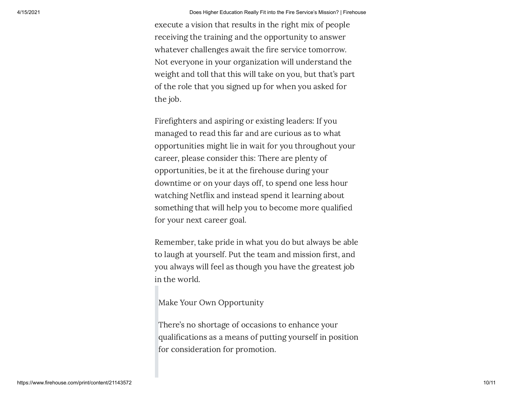execute a vision that results in the right mix of people receiving the training and the opportunity to answer whatever challenges await the fire service tomorrow. Not everyone in your organization will understand the weight and toll that this will take on you, but that's part of the role that you signed up for when you asked for the job.

Firefighters and aspiring or existing leaders: If you managed to read this far and are curious as to what opportunities might lie in wait for you throughout your career, please consider this: There are plenty of opportunities, be it at the firehouse during your downtime or on your days off, to spend one less hour watching Netflix and instead spend it learning about something that will help you to become more qualified for your next career goal.

Remember, take pride in what you do but always be able to laugh at yourself. Put the team and mission first, and you always will feel as though you have the greatest job in the world.

Make Your Own Opportunity

There's no shortage of occasions to enhance your qualifications as a means of putting yourself in position for consideration for promotion.